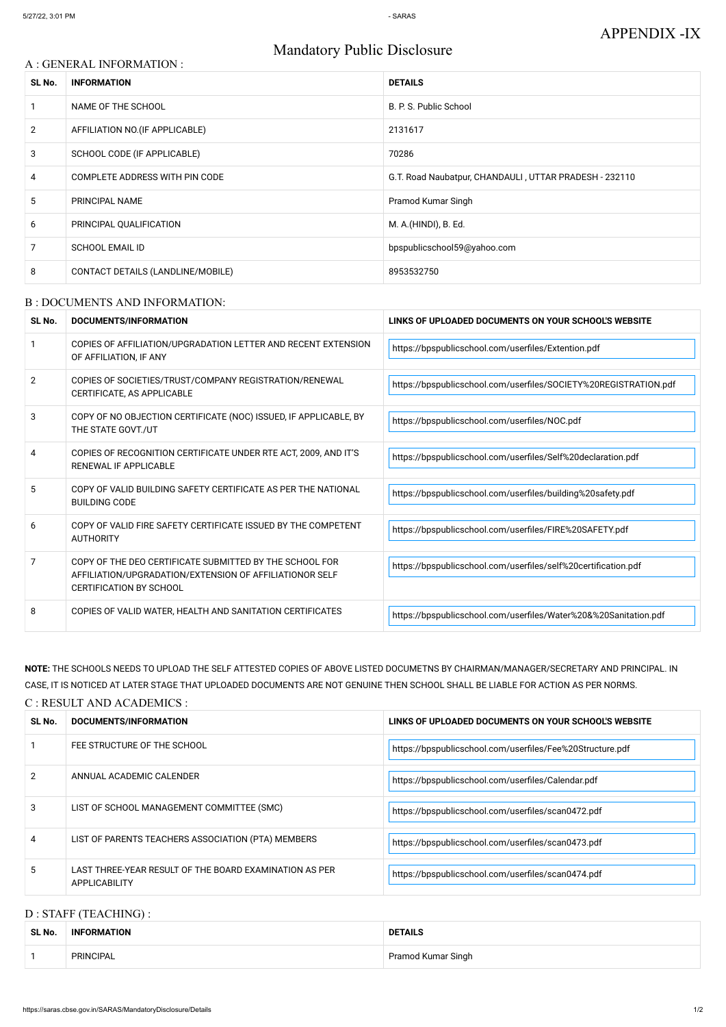# Mandatory Public Disclosure

## A : GENERAL INFORMATION :

| SL No.         | <b>INFORMATION</b>                | <b>DETAILS</b>                                         |  |
|----------------|-----------------------------------|--------------------------------------------------------|--|
|                | NAME OF THE SCHOOL                | B. P. S. Public School                                 |  |
| $\overline{2}$ | AFFILIATION NO. (IF APPLICABLE)   | 2131617                                                |  |
| 3              | SCHOOL CODE (IF APPLICABLE)       | 70286                                                  |  |
| 4              | COMPLETE ADDRESS WITH PIN CODE    | G.T. Road Naubatpur, CHANDAULI, UTTAR PRADESH - 232110 |  |
| 5              | <b>PRINCIPAL NAME</b>             | Pramod Kumar Singh                                     |  |
| 6              | PRINCIPAL QUALIFICATION           | M. A.(HINDI), B. Ed.                                   |  |
| 7              | <b>SCHOOL EMAIL ID</b>            | bpspublicschool59@yahoo.com                            |  |
| 8              | CONTACT DETAILS (LANDLINE/MOBILE) | 8953532750                                             |  |

## B : DOCUMENTS AND INFORMATION:

| SL No.         | <b>DOCUMENTS/INFORMATION</b>                                                                                                                         | LINKS OF UPLOADED DOCUMENTS ON YOUR SCHOOL'S WEBSITE             |  |
|----------------|------------------------------------------------------------------------------------------------------------------------------------------------------|------------------------------------------------------------------|--|
|                | COPIES OF AFFILIATION/UPGRADATION LETTER AND RECENT EXTENSION<br>OF AFFILIATION, IF ANY                                                              | https://bpspublicschool.com/userfiles/Extention.pdf              |  |
| $\overline{2}$ | COPIES OF SOCIETIES/TRUST/COMPANY REGISTRATION/RENEWAL<br>CERTIFICATE, AS APPLICABLE                                                                 | https://bpspublicschool.com/userfiles/SOCIETY%20REGISTRATION.pdf |  |
| 3              | COPY OF NO OBJECTION CERTIFICATE (NOC) ISSUED, IF APPLICABLE, BY<br>THE STATE GOVT./UT                                                               | https://bpspublicschool.com/userfiles/NOC.pdf                    |  |
| 4              | COPIES OF RECOGNITION CERTIFICATE UNDER RTE ACT, 2009, AND IT'S<br><b>RENEWAL IF APPLICABLE</b>                                                      | https://bpspublicschool.com/userfiles/Self%20declaration.pdf     |  |
| 5              | COPY OF VALID BUILDING SAFETY CERTIFICATE AS PER THE NATIONAL<br><b>BUILDING CODE</b>                                                                | https://bpspublicschool.com/userfiles/building%20safety.pdf      |  |
| 6              | COPY OF VALID FIRE SAFETY CERTIFICATE ISSUED BY THE COMPETENT<br><b>AUTHORITY</b>                                                                    | https://bpspublicschool.com/userfiles/FIRE%20SAFETY.pdf          |  |
| 7              | COPY OF THE DEO CERTIFICATE SUBMITTED BY THE SCHOOL FOR<br>AFFILIATION/UPGRADATION/EXTENSION OF AFFILIATIONOR SELF<br><b>CERTIFICATION BY SCHOOL</b> | https://bpspublicschool.com/userfiles/self%20certification.pdf   |  |
| 8              | COPIES OF VALID WATER, HEALTH AND SANITATION CERTIFICATES                                                                                            | https://bpspublicschool.com/userfiles/Water%20&%20Sanitation.pdf |  |

**NOTE:** THE SCHOOLS NEEDS TO UPLOAD THE SELF ATTESTED COPIES OF ABOVE LISTED DOCUMETNS BY CHAIRMAN/MANAGER/SECRETARY AND PRINCIPAL. IN CASE, IT IS NOTICED AT LATER STAGE THAT UPLOADED DOCUMENTS ARE NOT GENUINE THEN SCHOOL SHALL BE LIABLE FOR ACTION AS PER NORMS.

## C : RESULT AND ACADEMICS :

| SL No. | DOCUMENTS/INFORMATION                                                          | LINKS OF UPLOADED DOCUMENTS ON YOUR SCHOOL'S WEBSITE      |
|--------|--------------------------------------------------------------------------------|-----------------------------------------------------------|
|        | FEE STRUCTURE OF THE SCHOOL                                                    | https://bpspublicschool.com/userfiles/Fee%20Structure.pdf |
|        | ANNUAL ACADEMIC CALENDER                                                       | https://bpspublicschool.com/userfiles/Calendar.pdf        |
| 3      | LIST OF SCHOOL MANAGEMENT COMMITTEE (SMC)                                      | https://bpspublicschool.com/userfiles/scan0472.pdf        |
| 4      | LIST OF PARENTS TEACHERS ASSOCIATION (PTA) MEMBERS                             | https://bpspublicschool.com/userfiles/scan0473.pdf        |
| 5.     | LAST THREE-YEAR RESULT OF THE BOARD EXAMINATION AS PER<br><b>APPLICABILITY</b> | https://bpspublicschool.com/userfiles/scan0474.pdf        |

# D : STAFF (TEACHING) :

| SL No. | <b>INFORMATION</b> | <b>DETAILS</b>     |
|--------|--------------------|--------------------|
|        | PRINCIPAL          | Pramod Kumar Singh |